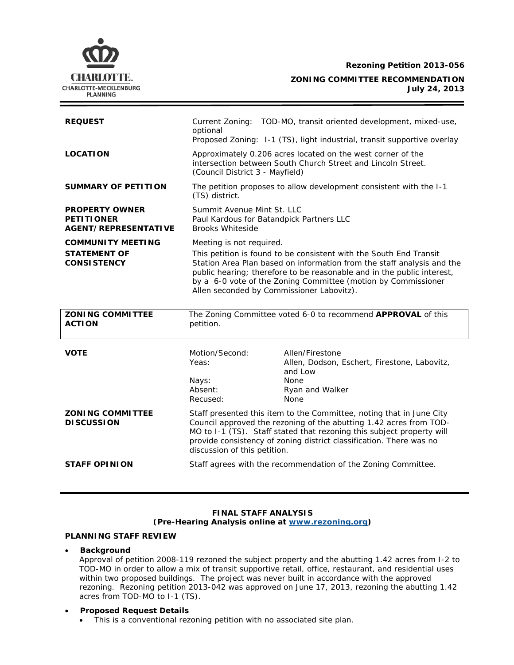**Rezoning Petition 2013-056**



**ZONING COMMITTEE RECOMMENDATION July 24, 2013**

| <b>REQUEST</b>                                                            | optional                                                                                                                                                                                                                                                                                                                                                         | Current Zoning: TOD-MO, transit oriented development, mixed-use,<br>Proposed Zoning: I-1 (TS), light industrial, transit supportive overlay                                                                                                                                                |
|---------------------------------------------------------------------------|------------------------------------------------------------------------------------------------------------------------------------------------------------------------------------------------------------------------------------------------------------------------------------------------------------------------------------------------------------------|--------------------------------------------------------------------------------------------------------------------------------------------------------------------------------------------------------------------------------------------------------------------------------------------|
| <b>LOCATION</b>                                                           | Approximately 0.206 acres located on the west corner of the<br>intersection between South Church Street and Lincoln Street.<br>(Council District 3 - Mayfield)                                                                                                                                                                                                   |                                                                                                                                                                                                                                                                                            |
| <b>SUMMARY OF PETITION</b>                                                | The petition proposes to allow development consistent with the I-1<br>(TS) district.                                                                                                                                                                                                                                                                             |                                                                                                                                                                                                                                                                                            |
| <b>PROPERTY OWNER</b><br><b>PETITIONER</b><br><b>AGENT/REPRESENTATIVE</b> | Summit Avenue Mint St. LLC<br>Paul Kardous for Batandpick Partners LLC<br><b>Brooks Whiteside</b>                                                                                                                                                                                                                                                                |                                                                                                                                                                                                                                                                                            |
| <b>COMMUNITY MEETING</b><br><b>STATEMENT OF</b><br><b>CONSISTENCY</b>     | Meeting is not required.<br>This petition is found to be consistent with the South End Transit<br>Station Area Plan based on information from the staff analysis and the<br>public hearing; therefore to be reasonable and in the public interest,<br>by a 6-0 vote of the Zoning Committee (motion by Commissioner<br>Allen seconded by Commissioner Labovitz). |                                                                                                                                                                                                                                                                                            |
|                                                                           |                                                                                                                                                                                                                                                                                                                                                                  |                                                                                                                                                                                                                                                                                            |
| <b>ZONING COMMITTEE</b><br><b>ACTION</b>                                  | petition.                                                                                                                                                                                                                                                                                                                                                        | The Zoning Committee voted 6-0 to recommend APPROVAL of this                                                                                                                                                                                                                               |
| <b>VOTE</b>                                                               | Motion/Second:<br>Yeas:<br>Nays:<br>Absent:<br>Recused:                                                                                                                                                                                                                                                                                                          | Allen/Firestone<br>Allen, Dodson, Eschert, Firestone, Labovitz,<br>and Low<br><b>None</b><br>Ryan and Walker<br>None                                                                                                                                                                       |
| <b>ZONING COMMITTEE</b><br><b>DISCUSSION</b>                              | discussion of this petition.                                                                                                                                                                                                                                                                                                                                     | Staff presented this item to the Committee, noting that in June City<br>Council approved the rezoning of the abutting 1.42 acres from TOD-<br>MO to I-1 (TS). Staff stated that rezoning this subject property will<br>provide consistency of zoning district classification. There was no |

## **FINAL STAFF ANALYSIS (Pre-Hearing Analysis online at [www.rezoning.org\)](http://www.rezoning.org/)**

# **PLANNING STAFF REVIEW**

### • **Background**

Approval of petition 2008-119 rezoned the subject property and the abutting 1.42 acres from I-2 to TOD-MO in order to allow a mix of transit supportive retail, office, restaurant, and residential uses within two proposed buildings. The project was never built in accordance with the approved rezoning. Rezoning petition 2013-042 was approved on June 17, 2013, rezoning the abutting 1.42 acres from TOD-MO to I-1 (TS).

### • **Proposed Request Details**

• This is a conventional rezoning petition with no associated site plan.